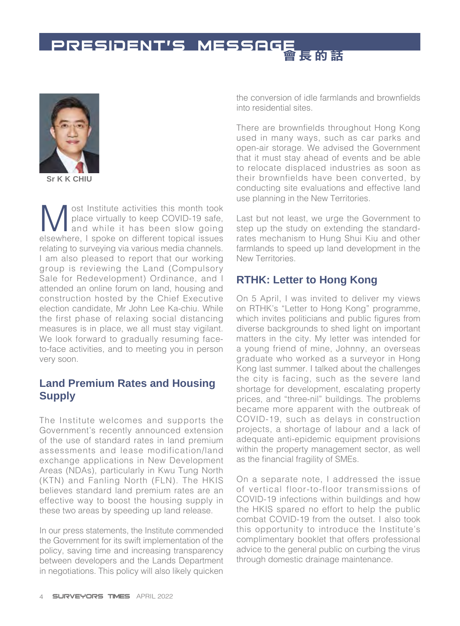# PRESIDENT'S MESSAGE



**Sr K K CHIU**

Most Institute activities this month took<br>place virtually to keep COVID-19 safe,<br>and while it has been slow going<br>elsewhere I spoke on different topical issues place virtually to keep COVID-19 safe, and while it has been slow going elsewhere, I spoke on different topical issues relating to surveying via various media channels. I am also pleased to report that our working group is reviewing the Land (Compulsory Sale for Redevelopment) Ordinance, and I attended an online forum on land, housing and construction hosted by the Chief Executive election candidate, Mr John Lee Ka-chiu. While the first phase of relaxing social distancing measures is in place, we all must stay vigilant. We look forward to gradually resuming faceto-face activities, and to meeting you in person very soon.

### **Land Premium Rates and Housing Supply**

The Institute welcomes and supports the Government's recently announced extension of the use of standard rates in land premium assessments and lease modification/land exchange applications in New Development Areas (NDAs), particularly in Kwu Tung North (KTN) and Fanling North (FLN). The HKIS believes standard land premium rates are an effective way to boost the housing supply in these two areas by speeding up land release.

In our press statements, the Institute commended the Government for its swift implementation of the policy, saving time and increasing transparency between developers and the Lands Department in negotiations. This policy will also likely quicken

the conversion of idle farmlands and brownfields into residential sites.

There are brownfields throughout Hong Kong used in many ways, such as car parks and open-air storage. We advised the Government that it must stay ahead of events and be able to relocate displaced industries as soon as their brownfields have been converted, by conducting site evaluations and effective land use planning in the New Territories.

Last but not least, we urge the Government to step up the study on extending the standardrates mechanism to Hung Shui Kiu and other farmlands to speed up land development in the New Territories.

## **RTHK: Letter to Hong Kong**

On 5 April, I was invited to deliver my views on RTHK's "Letter to Hong Kong" programme, which invites politicians and public figures from diverse backgrounds to shed light on important matters in the city. My letter was intended for a young friend of mine, Johnny, an overseas graduate who worked as a surveyor in Hong Kong last summer. I talked about the challenges the city is facing, such as the severe land shortage for development, escalating property prices, and "three-nil" buildings. The problems became more apparent with the outbreak of COVID-19, such as delays in construction projects, a shortage of labour and a lack of adequate anti-epidemic equipment provisions within the property management sector, as well as the financial fragility of SMEs.

On a separate note, I addressed the issue of vertical floor-to-floor transmissions of COVID-19 infections within buildings and how the HKIS spared no effort to help the public combat COVID-19 from the outset. I also took this opportunity to introduce the Institute's complimentary booklet that offers professional advice to the general public on curbing the virus through domestic drainage maintenance.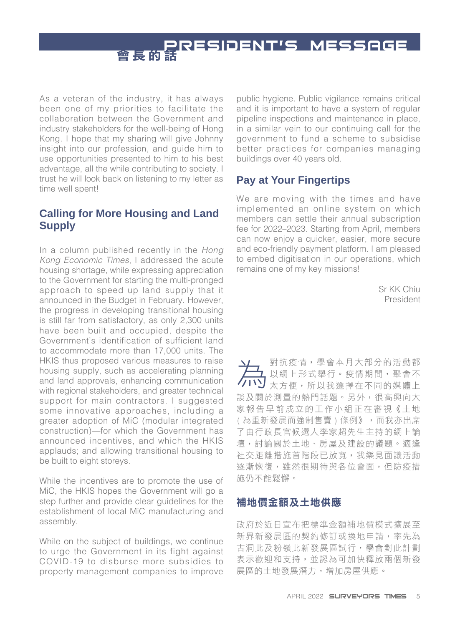**PRESIDENT'S MESSAGE** 

As a veteran of the industry, it has always been one of my priorities to facilitate the collaboration between the Government and industry stakeholders for the well-being of Hong Kong. I hope that my sharing will give Johnny insight into our profession, and guide him to use opportunities presented to him to his best advantage, all the while contributing to society. I trust he will look back on listening to my letter as time well spent!

## **Calling for More Housing and Land Supply**

In a column published recently in the *Hong Kong Economic Times*, I addressed the acute housing shortage, while expressing appreciation to the Government for starting the multi-pronged approach to speed up land supply that it announced in the Budget in February. However, the progress in developing transitional housing is still far from satisfactory, as only 2,300 units have been built and occupied, despite the Government's identification of sufficient land to accommodate more than 17,000 units. The HKIS thus proposed various measures to raise housing supply, such as accelerating planning and land approvals, enhancing communication with regional stakeholders, and greater technical support for main contractors. I suggested some innovative approaches, including a greater adoption of MiC (modular integrated construction)—for which the Government has announced incentives, and which the HKIS applauds; and allowing transitional housing to be built to eight storeys.

While the incentives are to promote the use of MiC, the HKIS hopes the Government will go a step further and provide clear guidelines for the establishment of local MiC manufacturing and assembly.

While on the subject of buildings, we continue to urge the Government in its fight against COVID-19 to disburse more subsidies to property management companies to improve public hygiene. Public vigilance remains critical and it is important to have a system of regular pipeline inspections and maintenance in place, in a similar vein to our continuing call for the government to fund a scheme to subsidise better practices for companies managing buildings over 40 years old.

## **Pay at Your Fingertips**

We are moving with the times and have implemented an online system on which members can settle their annual subscription fee for 2022–2023. Starting from April, members can now enjoy a quicker, easier, more secure and eco-friendly payment platform. I am pleased to embed digitisation in our operations, which remains one of my key missions!

> Sr KK Chiu President

為對抗疫情,學會本月大部分的活動都 以網上形式舉行。疫情期間,聚會不 太方便,所以我選擇在不同的媒體上 談及關於測量的熱門話題。另外,很高興向大 家報告早前成立的工作小組正在審視《土地 ( 為重新發展而強制售賣 ) 條例》,而我亦出席 了由行政長官候選人李家超先生主持的網上論 壇,討論關於土地、房屋及建設的議題。適逢 社交距離措施首階段已放寬,我樂見面議活動 逐漸恢復,雖然很期待與各位會面,但防疫措 施仍不能鬆懈。

#### 補地價金額及土地供應

政府於近日宣布把標準金額補地價模式擴展至 新界新發展區的契約修訂或換地申請,率先為 古洞北及粉嶺北新發展區試行,學會對此計劃 表示歡迎和支持,並認為可加快釋放兩個新發 展區的土地發展潛力,增加房屋供應。